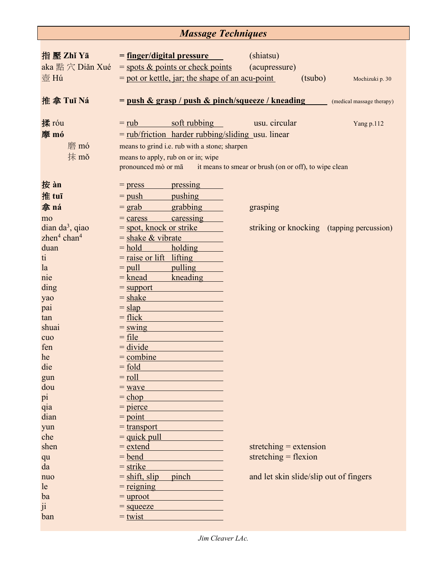## *Massage Techniques*

| 指壓 Zhǐ Yā<br>aka 點 穴 Diǎn Xué<br>壺 Hú | <u>= finger/digital pressure</u><br>$=$ spots $\&$ points or check points<br>$=$ pot or kettle, jar; the shape of an acu-point                                                                                                                     | (shiatsu)<br>(acupressure)<br>(tsubo)     | Mochizuki p. 30           |
|---------------------------------------|----------------------------------------------------------------------------------------------------------------------------------------------------------------------------------------------------------------------------------------------------|-------------------------------------------|---------------------------|
| 推拿 Tuī Ná                             | $=$ push & grasp / push & pinch/squeeze / kneading                                                                                                                                                                                                 |                                           | (medical massage therapy) |
| 揉 róu<br>摩 mó<br>磨 mó<br>抹 mǒ         | soft rubbing<br>$=$ rub<br>$=$ rub/friction harder rubbing/sliding usu. linear<br>means to grind i.e. rub with a stone; sharpen<br>means to apply, rub on or in; wipe<br>pronounced mò or mā it means to smear or brush (on or off), to wipe clean | usu. circular                             | Yang p.112                |
| 按 àn                                  | pressing<br>$=$ press                                                                                                                                                                                                                              |                                           |                           |
| 推 tuī<br>拿ná                          | pushing<br>$=$ push                                                                                                                                                                                                                                |                                           |                           |
| mo                                    | grabbing<br>$=$ grab<br>caressing<br>$=$ caress                                                                                                                                                                                                    | grasping                                  |                           |
| $d$ ian da <sup>3</sup> , qiao        | $=$ spot, knock or strike                                                                                                                                                                                                                          | striking or knocking (tapping percussion) |                           |
| zhen $4$ chan $4$                     | $=$ shake & vibrate                                                                                                                                                                                                                                |                                           |                           |
| duan                                  | $=$ hold<br>holding                                                                                                                                                                                                                                |                                           |                           |
| ti                                    | $=$ raise or lift lifting                                                                                                                                                                                                                          |                                           |                           |
| la                                    | pulling<br>$=$ pull                                                                                                                                                                                                                                |                                           |                           |
| nie                                   | $=$ knead<br>kneading                                                                                                                                                                                                                              |                                           |                           |
| ding                                  | $=$ support                                                                                                                                                                                                                                        |                                           |                           |
| yao                                   | $=$ shake<br>$=$ slap                                                                                                                                                                                                                              |                                           |                           |
| pai<br>tan                            | $=$ flick                                                                                                                                                                                                                                          |                                           |                           |
| shuai                                 | $=$ swing                                                                                                                                                                                                                                          |                                           |                           |
| cuo                                   | $=$ file                                                                                                                                                                                                                                           |                                           |                           |
| fen                                   | $=$ divide                                                                                                                                                                                                                                         |                                           |                           |
| he                                    | $=$ combine                                                                                                                                                                                                                                        |                                           |                           |
| die                                   | $=$ fold                                                                                                                                                                                                                                           |                                           |                           |
| gun                                   | $=$ roll                                                                                                                                                                                                                                           |                                           |                           |
| dou                                   | $=$ wave                                                                                                                                                                                                                                           |                                           |                           |
| pi                                    | $=$ chop                                                                                                                                                                                                                                           |                                           |                           |
| qia                                   | $=$ pierce                                                                                                                                                                                                                                         |                                           |                           |
| dian<br>yun                           | $=$ point<br>$=$ transport                                                                                                                                                                                                                         |                                           |                           |
| che                                   | $=$ quick pull                                                                                                                                                                                                                                     |                                           |                           |
| shen                                  | $=$ extend                                                                                                                                                                                                                                         | stretching $=$ extension                  |                           |
| qu                                    | $=$ bend                                                                                                                                                                                                                                           | stretching $=$ flexion                    |                           |
| da                                    | $=$ strike                                                                                                                                                                                                                                         |                                           |                           |
| nuo                                   | $=$ shift, slip<br>pinch                                                                                                                                                                                                                           | and let skin slide/slip out of fingers    |                           |
| le                                    | $=$ reigning                                                                                                                                                                                                                                       |                                           |                           |
| ba                                    | $=$ uproot                                                                                                                                                                                                                                         |                                           |                           |
| 11                                    | $=$ squeeze                                                                                                                                                                                                                                        |                                           |                           |
| ban                                   | $=$ twist                                                                                                                                                                                                                                          |                                           |                           |

*Jim Cleaver LAc.*